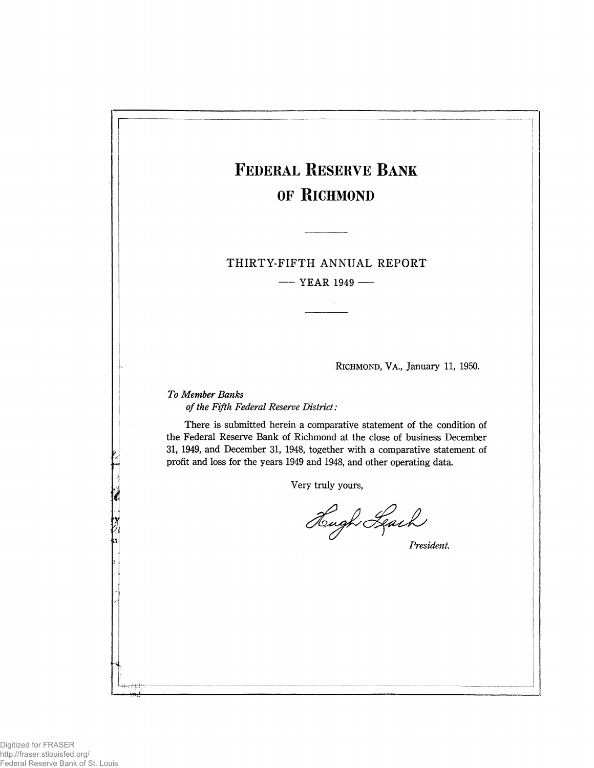|     | <b>FEDERAL RESERVE BANK</b>                                                                                                                     |
|-----|-------------------------------------------------------------------------------------------------------------------------------------------------|
|     | OF RICHMOND                                                                                                                                     |
|     |                                                                                                                                                 |
|     |                                                                                                                                                 |
|     | THIRTY-FIFTH ANNUAL REPORT                                                                                                                      |
|     | $-$ YEAR 1949 —                                                                                                                                 |
|     |                                                                                                                                                 |
|     |                                                                                                                                                 |
|     |                                                                                                                                                 |
|     |                                                                                                                                                 |
|     | RICHMOND, VA., January 11, 1950.                                                                                                                |
|     | To Member Banks                                                                                                                                 |
|     | of the Fifth Federal Reserve District:                                                                                                          |
|     | There is submitted herein a comparative statement of the condition of<br>the Federal Reserve Bank of Richmond at the close of business December |
|     | 31, 1949, and December 31, 1948, together with a comparative statement of                                                                       |
|     | profit and loss for the years 1949 and 1948, and other operating data.                                                                          |
|     | Very truly yours,                                                                                                                               |
|     |                                                                                                                                                 |
|     | Hugh Leach                                                                                                                                      |
| 'n. | President.                                                                                                                                      |
|     |                                                                                                                                                 |
|     |                                                                                                                                                 |
|     |                                                                                                                                                 |
|     |                                                                                                                                                 |
|     |                                                                                                                                                 |
|     |                                                                                                                                                 |
|     |                                                                                                                                                 |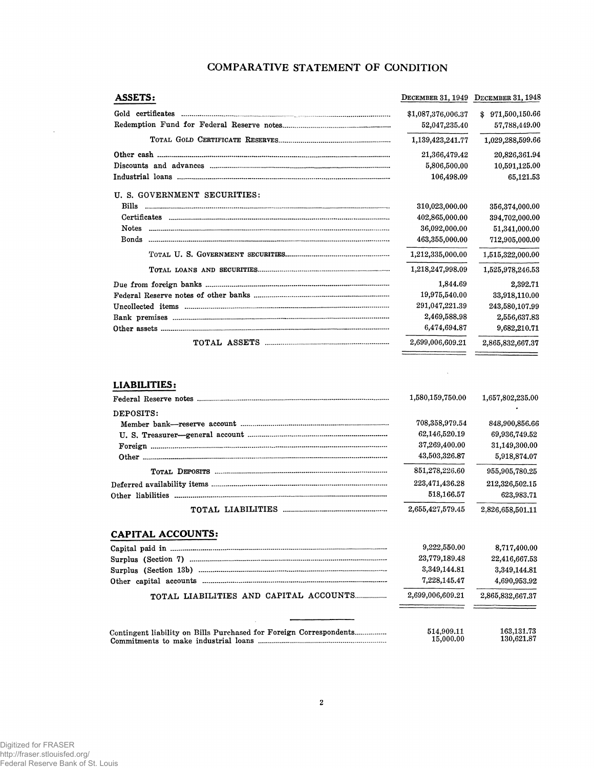# COMPARATIVE STATEMENT OF CONDITION

| <b>ASSETS:</b>               |                    | DECEMBER 31, 1949 DECEMBER 31, 1948 |
|------------------------------|--------------------|-------------------------------------|
|                              | \$1,087,376,006.37 | \$971,500,150.66                    |
|                              | 52,047,235.40      | 57.788,449.00                       |
|                              | 1,139,423,241.77   | 1,029,288,599.66                    |
|                              | 21,366,479.42      | 20,826,361.94                       |
|                              | 5,806,500.00       | 10,591,125.00                       |
|                              | 106,498.09         | 65,121.53                           |
| U. S. GOVERNMENT SECURITIES: |                    |                                     |
|                              | 310,023,000.00     | 356,374,000,00                      |
|                              | 402,865,000.00     | 394,702,000.00                      |
|                              | 36,092,000.00      | 51,341,000.00                       |
| <b>Bonds</b>                 | 463,355,000.00     | 712,905,000.00                      |
|                              | 1,212,335,000.00   | 1,515,322,000.00                    |
|                              | 1,218,247,998,09   | 1,525,978,246.53                    |
|                              | 1,844.69           | 2,392.71                            |
|                              | 19,975,540.00      | 33,918,110.00                       |
|                              | 291,047,221.39     | 243,580,107.99                      |
|                              | 2,469,588.98       | 2,556,637.83                        |
|                              | 6,474,694.87       | 9,682,210.71                        |
|                              | 2,699,006,609.21   | 2,865,832,667.37                    |

## LIABILITIES:

|           | 1,580,159,750.00 | 1,657,802,235.00 |
|-----------|------------------|------------------|
| DEPOSITS: |                  |                  |
|           | 708,358,979.54   | 848,900,856.66   |
|           | 62,146,520.19    | 69,936,749.52    |
|           | 37,269,400.00    | 31,149,300,00    |
|           | 43,503,326.87    | 5,918,874.07     |
|           | 851,278,226.60   | 955,905,780.25   |
|           | 223,471,436.28   | 212,326,502.15   |
|           | 518,166.57       | 623.983.71       |
|           | 2,655,427,579,45 | 2.826.658.501.11 |

 $\mathcal{L}$ 

# **CAPITAL ACCOUNTS:**

|                                                                    | 9,222,550.00            | 8,717,400.00             |
|--------------------------------------------------------------------|-------------------------|--------------------------|
|                                                                    | 23,779,189.48           | 22,416,667.53            |
|                                                                    | 3,349,144.81            | 3,349,144.81             |
|                                                                    | 7,228,145.47            | 4,690,953.92             |
| TOTAL LIABILITIES AND CAPITAL ACCOUNTS                             | 2,699,006,609.21        | 2,865,832,667.37         |
|                                                                    |                         |                          |
| Contingent liability on Bills Purchased for Foreign Correspondents | 514.909.11<br>15,000.00 | 163,131.73<br>130,621.87 |

 $\bar{z}$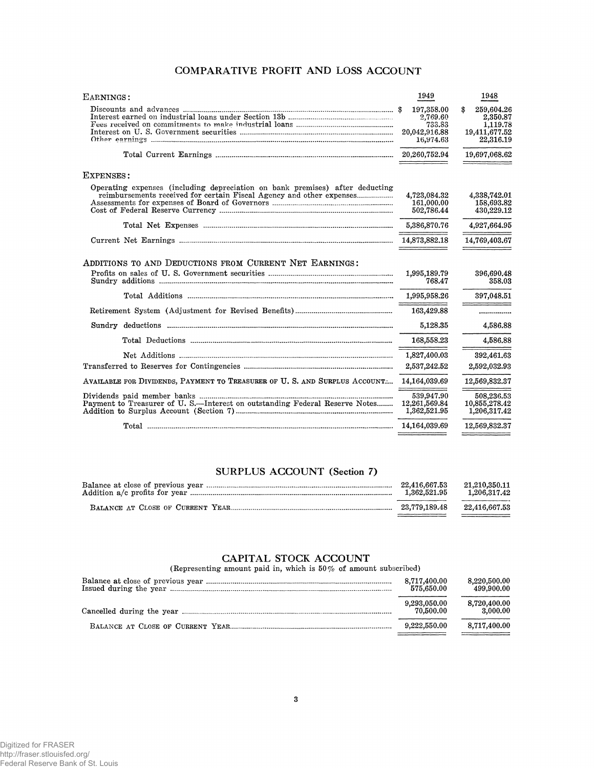# COMPARATIVE PROFIT AND LOSS ACCOUNT

| EARNINGS:                                                                    | 1949                                                           | 1948                                                                   |
|------------------------------------------------------------------------------|----------------------------------------------------------------|------------------------------------------------------------------------|
|                                                                              | 197,358.00<br>2,769.60<br>733.83<br>20,042,916.88<br>16,974.63 | \$<br>259,604.26<br>2,350.87<br>1,119.78<br>19,411,677.52<br>22,316.19 |
|                                                                              | 20,260,752.94                                                  | 19,697,068.62                                                          |
| <b>EXPENSES:</b>                                                             |                                                                |                                                                        |
| Operating expenses (including depreciation on bank premises) after deducting | 4,723,084.32<br>161,000.00<br>502,786.44                       | 4,338,742.01<br>158.693.82<br>430,229.12                               |
|                                                                              | 5,386,870.76                                                   | 4,927,664.95                                                           |
|                                                                              |                                                                | 14,769,403.67                                                          |
| ADDITIONS TO AND DEDUCTIONS FROM CURRENT NET EARNINGS:                       | 1,995,189.79<br>768.47                                         | 396,690.48<br>358.03                                                   |
|                                                                              | 1,995,958.26                                                   | 397.048.51                                                             |
|                                                                              | 163,429.88                                                     | ----------------                                                       |
|                                                                              | 5.128.35                                                       | 4,586.88                                                               |
|                                                                              | 168,558.23                                                     | 4,586,88                                                               |
|                                                                              | 1,827,400.03<br>2,537,242.52                                   | 392,461.63<br>2,592,032.93                                             |
| AVAILABLE FOR DIVIDENDS, PAYMENT TO TREASURER OF U.S. AND SURPLUS ACCOUNT    | 14,164,039.69                                                  | 12,569,832.37                                                          |
| Payment to Treasurer of U.S.--Interest on outstanding Federal Reserve Notes  | 539,947.90<br>12,261,569.84<br>1,362,521.95                    | 508.236.53<br>10,855,278.42<br>1,206,317.42                            |
|                                                                              | 14,164,039.69                                                  | 12,569,832.37                                                          |
|                                                                              |                                                                |                                                                        |

# SURPLUS ACCOUNT (Section 7)

| 22,416,667.53 | 21.210.350.11      |
|---------------|--------------------|
| 1.362.521.95  | $1,\!206,\!317.42$ |
| 23.779.189.48 |                    |

 $\textbf{CAPITAL STOCK ACCOUNT}\label{eq:cap1}$  (Representing amount paid in, which is<br>  $50\%$  of amount subscribed)

| 8.717.400.00<br>575.650.00 | 8,220,500.00<br>499,900.00 |
|----------------------------|----------------------------|
| 9,293,050.00<br>70.500.00  | 8,720,400.00<br>3.000.00   |
| 9.222.550.00               | 8.717.400.00               |
|                            |                            |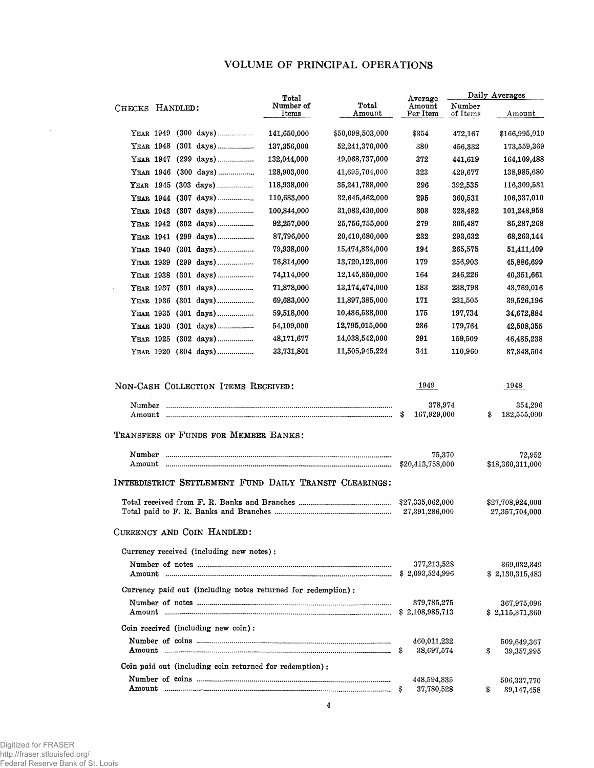# VOLUME OF PRINCIPAL OPERATIONS

|                                                                    | Total              |                  | Average                                |                    | Daily Averages                         |
|--------------------------------------------------------------------|--------------------|------------------|----------------------------------------|--------------------|----------------------------------------|
| HANDLED:<br>CHECKS                                                 | Number of<br>Items | Total<br>Amount  | Amount<br>Per Item                     | Number<br>of Items | Amount                                 |
| YEAR 1949 (300 days)                                               | 141,650,000        | \$50,098,503,000 | \$354                                  | 472,167            | \$166,995,010                          |
| YEAR 1948 (301 days)                                               | 137,356,000        | 52,241,370,000   | 380                                    | 456,332            | 173,559,369                            |
| YEAR 1947 (299 days)                                               | 132,044,000        | 49,068,737,000   | 372                                    | 441,619            | 164,109,488                            |
| YEAR 1946 (300 days)                                               | 128,903,000        | 41,695,704,000   | 323                                    | 429,677            | 138,985,680                            |
| YEAR 1945 (303 days)                                               | 118,938,000        | 35,241,788,000   | 296                                    | 392,535            | 116,309,531                            |
| YEAR 1944 (307 days)                                               | 110,683,000        | 32,645,462,000   | 295                                    | 360,531            | 106,337,010                            |
| YEAR 1943 (307 days)                                               | 100,844,000        | 31,083,430,000   | 308                                    | 328,482            | 101,248,958                            |
| YEAR 1942 (302 days)                                               | 92,257,000         | 25,756,755,000   | 279                                    | 305,487            | 85,287,268                             |
| YEAR 1941 (299 days)                                               | 87,796,000         | 20,410,680,000   | 232                                    | 293,632            | 68,263,144                             |
| YEAR 1940                                                          | 79,938,000         | 15,474,834,000   | 194                                    | 265,575            | 51,411,409                             |
| (299 days)<br>YEAR 1939                                            | 76,814,000         | 13,720,123,000   | 179                                    | 256,903            | 45,886,699                             |
| YEAR 1938 (301 days)                                               | 74,114,000         | 12,145,850,000   | 164                                    | 246,226            | 40,351,661                             |
| YEAR 1937 (301 days)                                               | 71,878,000         | 13,174,474,000   | 183                                    | 238,798            | 43,769,016                             |
| YEAR 1936 (301 days)                                               | 69,683,000         | 11,897,385,000   | 171                                    | 231,505            | 39,526,196                             |
| YEAR 1935 (301 days)                                               | 59,518,000         | 10,436,538,000   | 175                                    | 197,734            | 34,672,884                             |
| YEAR 1930                                                          | 54,109,000         | 12,795,015,000   | 236                                    | 179,764            | 42,508,355                             |
| YEAR 1925 (302 days)                                               | 48,171,677         | 14,038,542,000   | 291                                    | 159,509            | 46,485,238                             |
| YEAR 1920 (304 days)                                               | 33,731,801         | 11,505,945,224   | 341                                    | 110,960            | 37,848,504                             |
| Number<br>Amount<br>TRANSFERS OF FUNDS FOR MEMBER BANKS:<br>Number |                    |                  | 378,974<br>167,929,000<br>\$<br>75,370 |                    | 354,296<br>182,555,000<br>\$<br>72,952 |
| Amount<br>INTERDISTRICT SETTLEMENT FUND DAILY TRANSIT CLEARINGS:   |                    |                  | \$20,413,758,000                       |                    | \$18,360,311,000                       |
|                                                                    |                    |                  | \$27,335,062,000<br>27,391,286,000     |                    | \$27,708,924,000<br>27,357,704,000     |
| CURRENCY AND COIN HANDLED:                                         |                    |                  |                                        |                    |                                        |
| Currency received (including new notes):                           |                    |                  |                                        |                    |                                        |
| Amount                                                             |                    |                  | 377,213,528<br>\$2,093,524,996         |                    | 369,032,349<br>\$2,130,315,483         |
| Currency paid out (including notes returned for redemption):       |                    |                  |                                        |                    |                                        |
| Amount                                                             |                    |                  | 379,785,275<br>\$2,108,985,713         |                    | 367,975,096<br>\$2,115,371,360         |
| Coin received (including new coin):                                |                    |                  |                                        |                    |                                        |
|                                                                    |                    |                  | 460,011,232<br>38,697,574<br>S         |                    | 509,649,367<br>\$<br>39,357,995        |
| Coin paid out (including coin returned for redemption):            |                    |                  |                                        |                    |                                        |
|                                                                    |                    |                  | 448,594,835<br>37,780,528              |                    | 506,337,770<br>\$<br>39,147,458        |

 $\sim$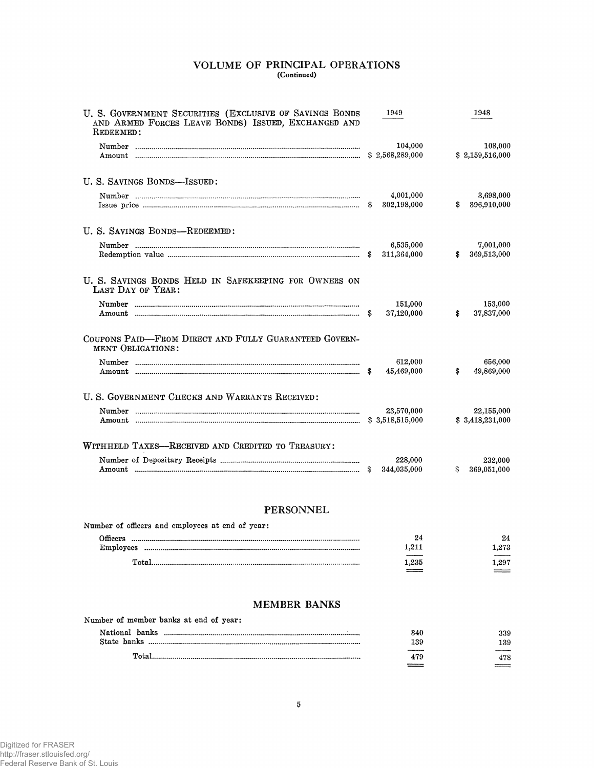# VOLUME OF PRINCIPAL OPERATIONS (Continued)

| U. S. GOVERNMENT SECURITIES (EXCLUSIVE OF SAVINGS BONDS<br>AND ARMED FORCES LEAVE BONDS) ISSUED, EXCHANGED AND<br>REDEEMED: | 1949                       | 1948                           |
|-----------------------------------------------------------------------------------------------------------------------------|----------------------------|--------------------------------|
|                                                                                                                             | 104,000<br>\$2,568,289,000 | 108,000<br>\$2,159,516,000     |
| U. S. SAVINGS BONDS-ISSUED:                                                                                                 |                            |                                |
|                                                                                                                             | 4,001,000<br>302,198,000   | 3,698,000<br>396,910,000<br>\$ |
| U. S. SAVINGS BONDS-REDEEMED:                                                                                               |                            |                                |
|                                                                                                                             | 6,535,000<br>311,364,000   | 7,001,000<br>369,513,000<br>\$ |
| U. S. SAVINGS BONDS HELD IN SAFEKEEPING FOR OWNERS ON<br>LAST DAY OF YEAR:                                                  |                            |                                |
|                                                                                                                             | 151,000<br>37,120,000      | 153,000<br>37,837,000<br>\$    |
| COUPONS PAID-FROM DIRECT AND FULLY GUARANTEED GOVERN-<br><b>MENT OBLIGATIONS:</b>                                           |                            |                                |
|                                                                                                                             | 612,000<br>45,469,000      | 656,000<br>49,869,000<br>\$    |
| U. S. GOVERNMENT CHECKS AND WARRANTS RECEIVED:                                                                              |                            |                                |
|                                                                                                                             | 23,570,000                 | 22,155,000<br>\$3,418,231,000  |
| WITHHELD TAXES-RECEIVED AND CREDITED TO TREASURY:                                                                           |                            |                                |
|                                                                                                                             | 228,000<br>344,035,000     | 232,000<br>369,051,000<br>S.   |

# **PERSONNEL**

| Number of officers and employees at end of year: |       |       |
|--------------------------------------------------|-------|-------|
| Officers                                         | 24    | 24    |
| Employees                                        | 1.211 | 1.273 |
| Total                                            | 1.235 | l 297 |
|                                                  |       |       |

# **MEMBER BANKS**

| Total.                                 | 479 | 478 |
|----------------------------------------|-----|-----|
|                                        | 139 | 139 |
|                                        | 340 | 339 |
| Number of member banks at end of year: |     |     |
|                                        |     |     |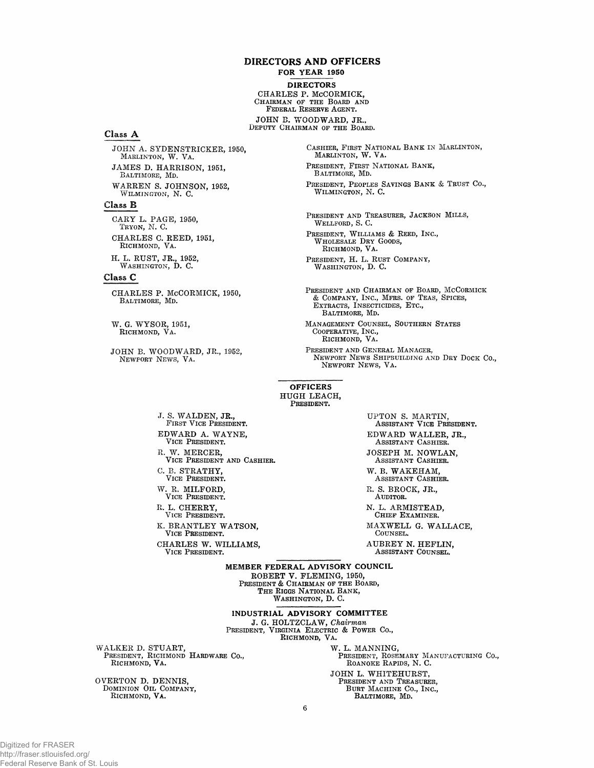#### DIRECTORS AND OFFICERS

#### FOR YEAR 1950

DIRECTORS

CH ARLES P. MCCORMICK,<br>Chairman of the Board ani<br>Federal Reserve Agent. JOHN B. WOODWARD, JR.,

DEPUTY CHAIRMAN OF THE BOARD.

#### Class A

JOHN A. SYDENSTRICKER, 1950,<br>Marlinton, W. Va. JAMES D. HARRISON, 1951, BALTIMORE, MD. WARREN S. JOHNSON, 1952, WILMINGTON, N. C.

#### Class E

CARY L. PAGE, 1950,<br>Tryon, N. C. CHARLES C. REED, 1951,<br>RICHMOND, VA. **H. L. R U ST, JR., 1952,**

WASHINGTON, D. C.

### Class C

CHARLES P. McCORMICK, 1950,<br>BALTIMORE, MD.

W. G. WYSOR, 1951,<br>RICHMOND, VA.

JOHN B. WOODWARD, JR., 1952, NEWPORT NEWS, VA.

CASHIER, FIRST NATIONAL BANK IN MARLINTON, MARLINTON, W. VA. PRESIDENT, FIRST NATIONAL BANK, BALTIMORE, MD. PRESIDENT, PEOPLES SAVINGS BANK & TRUST Co., WILMINGTON, N. C.

PRESIDENT AND TREASURER, JACKSON MILLS, WELLFORD, S.C.

PRESIDENT, WILLIAMS & REED, INC.,<br>WHOLESALE DRY GOODS, RICHMOND, VA.

PRESIDENT, H. L. RUST COMPANY, WASHINGTON, D. C.

PRESIDENT AND CHAIRMAN OF BOARD, MCCORMICK<br>& COMPANY, INC., MFRS. OF TEAS, SPICES,<br>EXTRACTS, INSECTICIDES, ETC., BALTIMORE, MD.

MANAGEMENT COUNSEL, SOUTHERN STATES COOPERATIVE, INC., RICHMOND, VA.

PRESIDENT AND GENERAL MANAGER, NEWPORT NEWS SHIPBUILDING AND DRY DOCK CO., NEWPORT NEWS, VA.

#### OFFICERS HUGH LEACH, PRESIDENT.

**J. S. W A L D E N , JR.,** F irst V ice President. **E D W A R D A . W A Y N E ,** VICE PRESIDENT. R. W. MERCER,<br>Vice President and Cashier. C. B. STRATHY, VICE PRESIDENT.

W. R. MILFORD, VICE PRESIDENT. R. L. CHERRY,

VICE PRESIDENT.

**K. BRANTLEY WATSON,** VICE PRESIDENT.

CHARLES W. WILLIAMS, VICE PRESIDENT.

UPTON S. MARTIN,<br>Assistant Vice President. **EDWARD WALLER, JR.,** A ssistant Cashier. **JOSEPH M. NOWLAN,** ASSISTANT CASHIER.

W. B. WAKEHAM, ASSISTANT CASHIER.

**R. S. BROCK, JR.,** AUDITOR.

N. L. ARMISTEAD, CHIEF EXAMINER.

**M A X W E L L G. W A L L A C E ,** COUNSEL.

A U BREY N. HEFLIN,<br>ASSISTANT COUNSEL.

MEMBER FEDERAL ADVISORY COUNCIL **ROBERT V. FLEMING, 1950,** President & Chairman of the Board, The Riggs National Bank, Washington, D. C.

INDUSTRIAL ADVISORY COMMITTEE

J. **G. H O LTZC LA W ,** *Chairman* President, Virginia Electric & Power Co., RICHMOND, VA.

WALKER D. STUART,<br>President, Richmond Hardware Co., RICHMOND, VA.

**OVERTON D. DENNIS,** DOMINION OIL COMPANY, RICHMOND, VA.

W. L. MANNING, PRESIDENT, ROSEMARY MANUFACTURING CO., ROANOKE RAPIDS, N. C. **JOHN L. WHITEHURST,** PRESIDENT AND TREASURER,<br>BURT MACHINE CO., INC., BALTIMORE, MD.